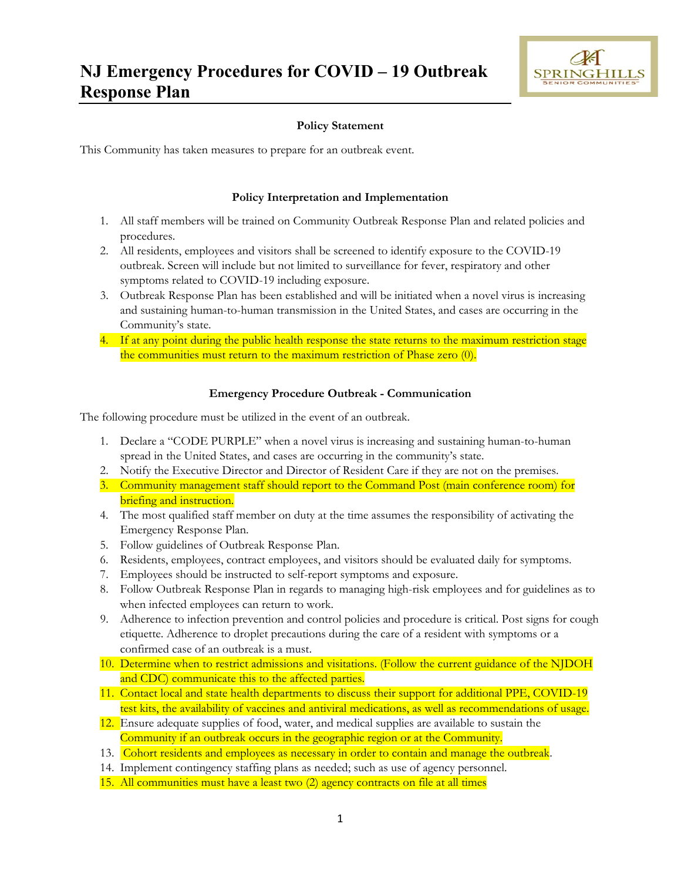

#### **Policy Statement**

This Community has taken measures to prepare for an outbreak event.

#### **Policy Interpretation and Implementation**

- 1. All staff members will be trained on Community Outbreak Response Plan and related policies and procedures.
- 2. All residents, employees and visitors shall be screened to identify exposure to the COVID-19 outbreak. Screen will include but not limited to surveillance for fever, respiratory and other symptoms related to COVID-19 including exposure.
- 3. Outbreak Response Plan has been established and will be initiated when a novel virus is increasing and sustaining human-to-human transmission in the United States, and cases are occurring in the Community's state.
- 4. If at any point during the public health response the state returns to the maximum restriction stage the communities must return to the maximum restriction of Phase zero (0).

#### **Emergency Procedure Outbreak - Communication**

The following procedure must be utilized in the event of an outbreak.

- 1. Declare a "CODE PURPLE" when a novel virus is increasing and sustaining human-to-human spread in the United States, and cases are occurring in the community's state.
- 2. Notify the Executive Director and Director of Resident Care if they are not on the premises.
- 3. Community management staff should report to the Command Post (main conference room) for briefing and instruction.
- 4. The most qualified staff member on duty at the time assumes the responsibility of activating the Emergency Response Plan.
- 5. Follow guidelines of Outbreak Response Plan.
- 6. Residents, employees, contract employees, and visitors should be evaluated daily for symptoms.
- 7. Employees should be instructed to self-report symptoms and exposure.
- 8. Follow Outbreak Response Plan in regards to managing high-risk employees and for guidelines as to when infected employees can return to work.
- 9. Adherence to infection prevention and control policies and procedure is critical. Post signs for cough etiquette. Adherence to droplet precautions during the care of a resident with symptoms or a confirmed case of an outbreak is a must.
- 10. Determine when to restrict admissions and visitations. (Follow the current guidance of the NJDOH and CDC) communicate this to the affected parties.
- 11. Contact local and state health departments to discuss their support for additional PPE, COVID-19 test kits, the availability of vaccines and antiviral medications, as well as recommendations of usage.
- 12. Ensure adequate supplies of food, water, and medical supplies are available to sustain the Community if an outbreak occurs in the geographic region or at the Community.
- 13. Cohort residents and employees as necessary in order to contain and manage the outbreak.
- 14. Implement contingency staffing plans as needed; such as use of agency personnel.
- 15. All communities must have a least two (2) agency contracts on file at all times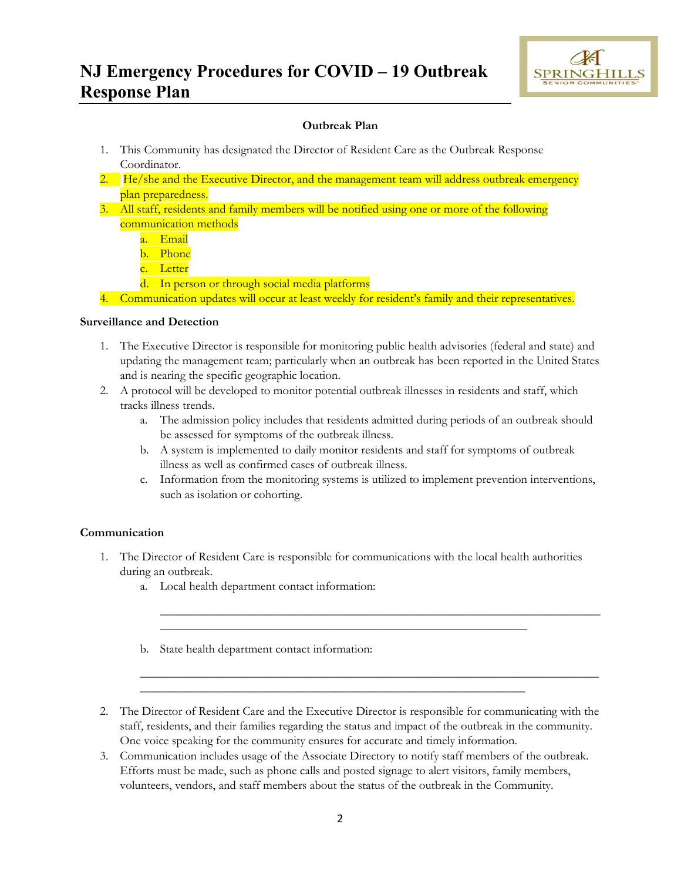

### **Outbreak Plan**

- 1. This Community has designated the Director of Resident Care as the Outbreak Response Coordinator.
- 2.  $He/she$  and the Executive Director, and the management team will address outbreak emergency plan preparedness.
- 3. All staff, residents and family members will be notified using one or more of the following communication methods
	- a. Email
	- b. Phone
	- c. Letter
	- d. In person or through social media platforms

4. Communication updates will occur at least weekly for resident's family and their representatives.

#### **Surveillance and Detection**

- 1. The Executive Director is responsible for monitoring public health advisories (federal and state) and updating the management team; particularly when an outbreak has been reported in the United States and is nearing the specific geographic location.
- 2. A protocol will be developed to monitor potential outbreak illnesses in residents and staff, which tracks illness trends.
	- a. The admission policy includes that residents admitted during periods of an outbreak should be assessed for symptoms of the outbreak illness.
	- b. A system is implemented to daily monitor residents and staff for symptoms of outbreak illness as well as confirmed cases of outbreak illness.
	- c. Information from the monitoring systems is utilized to implement prevention interventions, such as isolation or cohorting.

\_\_\_\_\_\_\_\_\_\_\_\_\_\_\_\_\_\_\_\_\_\_\_\_\_\_\_\_\_\_\_\_\_\_\_\_\_\_\_\_\_\_\_\_\_\_\_\_\_\_\_\_\_\_\_\_\_\_\_\_\_\_\_\_\_\_\_\_\_\_\_\_

\_\_\_\_\_\_\_\_\_\_\_\_\_\_\_\_\_\_\_\_\_\_\_\_\_\_\_\_\_\_\_\_\_\_\_\_\_\_\_\_\_\_\_\_\_\_\_\_\_\_\_\_\_\_\_\_\_\_\_\_\_\_\_\_\_\_\_\_\_\_\_\_\_\_\_

### **Communication**

1. The Director of Resident Care is responsible for communications with the local health authorities during an outbreak.

\_\_\_\_\_\_\_\_\_\_\_\_\_\_\_\_\_\_\_\_\_\_\_\_\_\_\_\_\_\_\_\_\_\_\_\_\_\_\_\_\_\_\_\_\_\_\_\_\_\_\_\_\_\_\_\_\_\_\_\_

\_\_\_\_\_\_\_\_\_\_\_\_\_\_\_\_\_\_\_\_\_\_\_\_\_\_\_\_\_\_\_\_\_\_\_\_\_\_\_\_\_\_\_\_\_\_\_\_\_\_\_\_\_\_\_\_\_\_\_\_\_\_\_

- a. Local health department contact information:
- b. State health department contact information:
- 2. The Director of Resident Care and the Executive Director is responsible for communicating with the staff, residents, and their families regarding the status and impact of the outbreak in the community. One voice speaking for the community ensures for accurate and timely information.
- 3. Communication includes usage of the Associate Directory to notify staff members of the outbreak. Efforts must be made, such as phone calls and posted signage to alert visitors, family members, volunteers, vendors, and staff members about the status of the outbreak in the Community.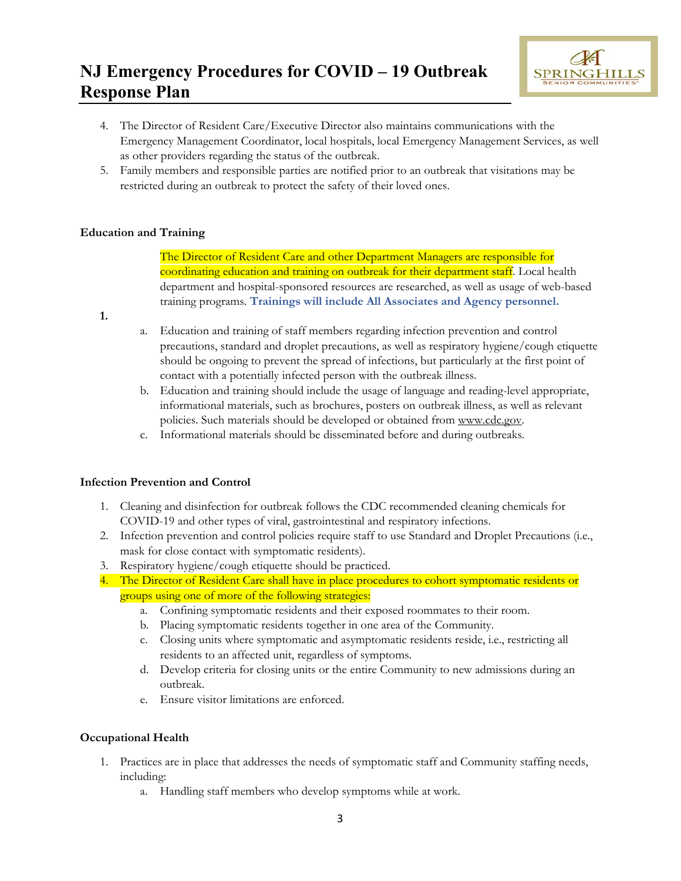

- 4. The Director of Resident Care/Executive Director also maintains communications with the Emergency Management Coordinator, local hospitals, local Emergency Management Services, as well as other providers regarding the status of the outbreak.
- 5. Family members and responsible parties are notified prior to an outbreak that visitations may be restricted during an outbreak to protect the safety of their loved ones.

### **Education and Training**

The Director of Resident Care and other Department Managers are responsible for coordinating education and training on outbreak for their department staff. Local health department and hospital-sponsored resources are researched, as well as usage of web-based training programs. **Trainings will include All Associates and Agency personnel.**

- **1.**
- a. Education and training of staff members regarding infection prevention and control precautions, standard and droplet precautions, as well as respiratory hygiene/cough etiquette should be ongoing to prevent the spread of infections, but particularly at the first point of contact with a potentially infected person with the outbreak illness.
- b. Education and training should include the usage of language and reading-level appropriate, informational materials, such as brochures, posters on outbreak illness, as well as relevant policies. Such materials should be developed or obtained from www.cdc.gov.
- c. Informational materials should be disseminated before and during outbreaks.

### **Infection Prevention and Control**

- 1. Cleaning and disinfection for outbreak follows the CDC recommended cleaning chemicals for COVID-19 and other types of viral, gastrointestinal and respiratory infections.
- 2. Infection prevention and control policies require staff to use Standard and Droplet Precautions (i.e., mask for close contact with symptomatic residents).
- 3. Respiratory hygiene/cough etiquette should be practiced.
- 4. The Director of Resident Care shall have in place procedures to cohort symptomatic residents or groups using one of more of the following strategies:
	- a. Confining symptomatic residents and their exposed roommates to their room.
	- b. Placing symptomatic residents together in one area of the Community.
	- c. Closing units where symptomatic and asymptomatic residents reside, i.e., restricting all residents to an affected unit, regardless of symptoms.
	- d. Develop criteria for closing units or the entire Community to new admissions during an outbreak.
	- e. Ensure visitor limitations are enforced.

### **Occupational Health**

- 1. Practices are in place that addresses the needs of symptomatic staff and Community staffing needs, including:
	- a. Handling staff members who develop symptoms while at work.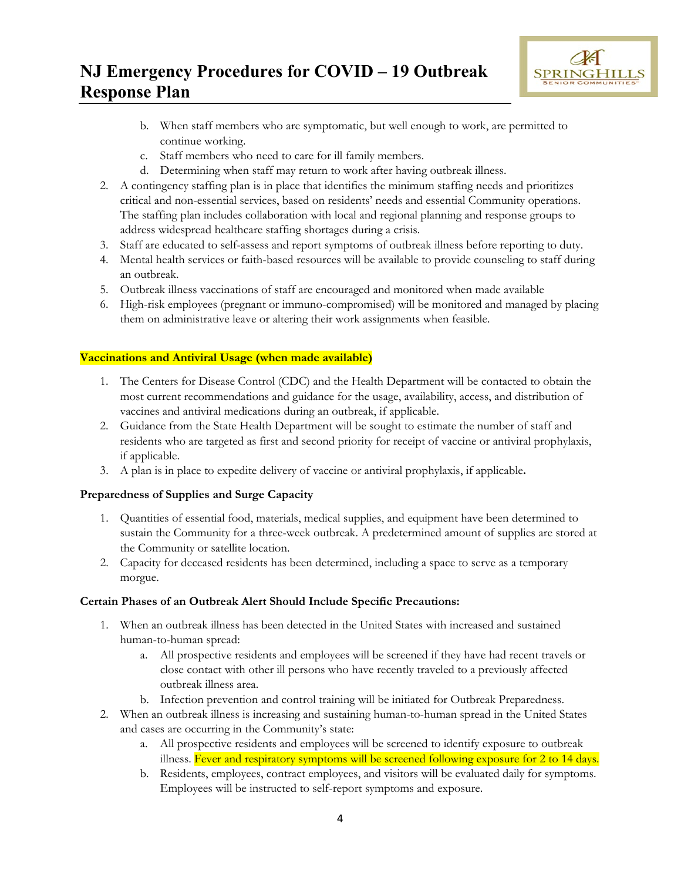

- b. When staff members who are symptomatic, but well enough to work, are permitted to continue working.
- c. Staff members who need to care for ill family members.
- d. Determining when staff may return to work after having outbreak illness.
- 2. A contingency staffing plan is in place that identifies the minimum staffing needs and prioritizes critical and non-essential services, based on residents' needs and essential Community operations. The staffing plan includes collaboration with local and regional planning and response groups to address widespread healthcare staffing shortages during a crisis.
- 3. Staff are educated to self-assess and report symptoms of outbreak illness before reporting to duty.
- 4. Mental health services or faith-based resources will be available to provide counseling to staff during an outbreak.
- 5. Outbreak illness vaccinations of staff are encouraged and monitored when made available
- 6. High-risk employees (pregnant or immuno-compromised) will be monitored and managed by placing them on administrative leave or altering their work assignments when feasible.

### **Vaccinations and Antiviral Usage (when made available)**

- 1. The Centers for Disease Control (CDC) and the Health Department will be contacted to obtain the most current recommendations and guidance for the usage, availability, access, and distribution of vaccines and antiviral medications during an outbreak, if applicable.
- 2. Guidance from the State Health Department will be sought to estimate the number of staff and residents who are targeted as first and second priority for receipt of vaccine or antiviral prophylaxis, if applicable.
- 3. A plan is in place to expedite delivery of vaccine or antiviral prophylaxis, if applicable**.**

### **Preparedness of Supplies and Surge Capacity**

- 1. Quantities of essential food, materials, medical supplies, and equipment have been determined to sustain the Community for a three-week outbreak. A predetermined amount of supplies are stored at the Community or satellite location.
- 2. Capacity for deceased residents has been determined, including a space to serve as a temporary morgue.

#### **Certain Phases of an Outbreak Alert Should Include Specific Precautions:**

- 1. When an outbreak illness has been detected in the United States with increased and sustained human-to-human spread:
	- a. All prospective residents and employees will be screened if they have had recent travels or close contact with other ill persons who have recently traveled to a previously affected outbreak illness area.
	- b. Infection prevention and control training will be initiated for Outbreak Preparedness.
- 2. When an outbreak illness is increasing and sustaining human-to-human spread in the United States and cases are occurring in the Community's state:
	- a. All prospective residents and employees will be screened to identify exposure to outbreak illness. Fever and respiratory symptoms will be screened following exposure for 2 to 14 days.
	- b. Residents, employees, contract employees, and visitors will be evaluated daily for symptoms. Employees will be instructed to self-report symptoms and exposure.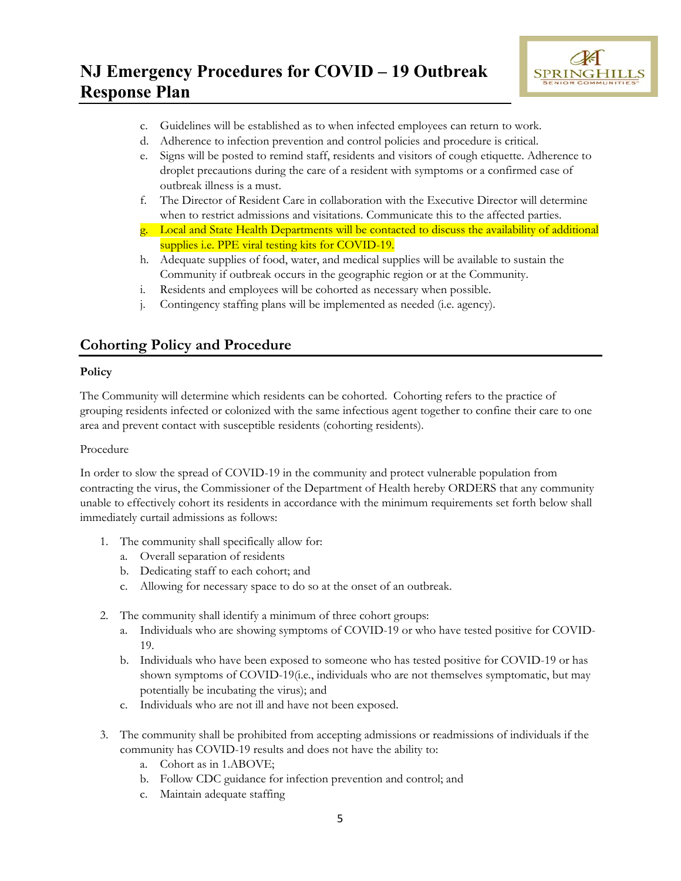

- c. Guidelines will be established as to when infected employees can return to work.
- d. Adherence to infection prevention and control policies and procedure is critical.
- e. Signs will be posted to remind staff, residents and visitors of cough etiquette. Adherence to droplet precautions during the care of a resident with symptoms or a confirmed case of outbreak illness is a must.
- f. The Director of Resident Care in collaboration with the Executive Director will determine when to restrict admissions and visitations. Communicate this to the affected parties.
- g. Local and State Health Departments will be contacted to discuss the availability of additional supplies i.e. PPE viral testing kits for COVID-19.
- h. Adequate supplies of food, water, and medical supplies will be available to sustain the Community if outbreak occurs in the geographic region or at the Community.
- i. Residents and employees will be cohorted as necessary when possible.
- j. Contingency staffing plans will be implemented as needed (i.e. agency).

### **Cohorting Policy and Procedure**

#### **Policy**

The Community will determine which residents can be cohorted. Cohorting refers to the practice of grouping residents infected or colonized with the same infectious agent together to confine their care to one area and prevent contact with susceptible residents (cohorting residents).

#### Procedure

In order to slow the spread of COVID-19 in the community and protect vulnerable population from contracting the virus, the Commissioner of the Department of Health hereby ORDERS that any community unable to effectively cohort its residents in accordance with the minimum requirements set forth below shall immediately curtail admissions as follows:

- 1. The community shall specifically allow for:
	- a. Overall separation of residents
	- b. Dedicating staff to each cohort; and
	- c. Allowing for necessary space to do so at the onset of an outbreak.
- 2. The community shall identify a minimum of three cohort groups:
	- a. Individuals who are showing symptoms of COVID-19 or who have tested positive for COVID-19.
	- b. Individuals who have been exposed to someone who has tested positive for COVID-19 or has shown symptoms of COVID-19(i.e., individuals who are not themselves symptomatic, but may potentially be incubating the virus); and
	- c. Individuals who are not ill and have not been exposed.
- 3. The community shall be prohibited from accepting admissions or readmissions of individuals if the community has COVID-19 results and does not have the ability to:
	- a. Cohort as in 1.ABOVE;
	- b. Follow CDC guidance for infection prevention and control; and
	- c. Maintain adequate staffing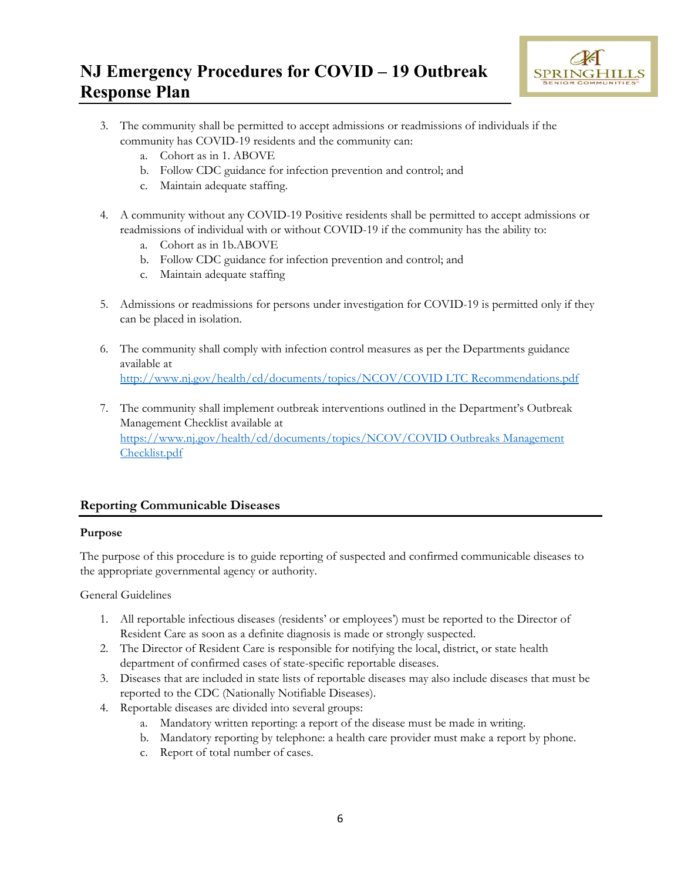

- 3. The community shall be permitted to accept admissions or readmissions of individuals if the community has COVID-19 residents and the community can:
	- a. Cohort as in 1. ABOVE
	- b. Follow CDC guidance for infection prevention and control; and
	- c. Maintain adequate staffing.
- 4. A community without any COVID-19 Positive residents shall be permitted to accept admissions or readmissions of individual with or without COVID-19 if the community has the ability to:
	- a. Cohort as in 1b.ABOVE
	- b. Follow CDC guidance for infection prevention and control; and
	- c. Maintain adequate staffing
- 5. Admissions or readmissions for persons under investigation for COVID-19 is permitted only if they can be placed in isolation.
- 6. The community shall comply with infection control measures as per the Departments guidance available at [http://www.nj.gov/health/cd/documents/topics/NCOV/COVID LTC Recommendations.pdf](http://www.nj.gov/health/cd/documents/topics/NCOV/COVID%20LTC%20Recommendations.pdf)
- 7. The community shall implement outbreak interventions outlined in the Department's Outbreak Management Checklist available at [https://www.nj.gov/health/cd/documents/topics/NCOV/COVID Outbreaks Management](https://www.nj.gov/health/cd/documents/topics/NCOV/COVID%20Outbreaks%20Management%20Checklist.pdf)  [Checklist.pdf](https://www.nj.gov/health/cd/documents/topics/NCOV/COVID%20Outbreaks%20Management%20Checklist.pdf)

### **Reporting Communicable Diseases**

### **Purpose**

The purpose of this procedure is to guide reporting of suspected and confirmed communicable diseases to the appropriate governmental agency or authority.

General Guidelines

- 1. All reportable infectious diseases (residents' or employees') must be reported to the Director of Resident Care as soon as a definite diagnosis is made or strongly suspected.
- 2. The Director of Resident Care is responsible for notifying the local, district, or state health department of confirmed cases of state-specific reportable diseases.
- 3. Diseases that are included in state lists of reportable diseases may also include diseases that must be reported to the CDC (Nationally Notifiable Diseases).
- 4. Reportable diseases are divided into several groups:
	- a. Mandatory written reporting: a report of the disease must be made in writing.
	- b. Mandatory reporting by telephone: a health care provider must make a report by phone.
	- c. Report of total number of cases.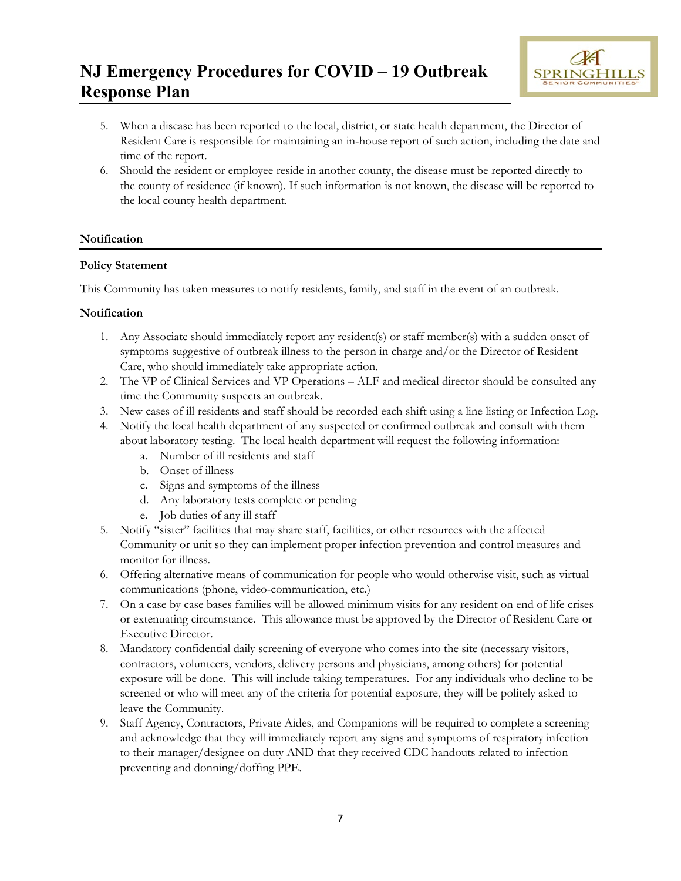

- 5. When a disease has been reported to the local, district, or state health department, the Director of Resident Care is responsible for maintaining an in-house report of such action, including the date and time of the report.
- 6. Should the resident or employee reside in another county, the disease must be reported directly to the county of residence (if known). If such information is not known, the disease will be reported to the local county health department.

### **Notification**

#### **Policy Statement**

This Community has taken measures to notify residents, family, and staff in the event of an outbreak.

#### **Notification**

- 1. Any Associate should immediately report any resident(s) or staff member(s) with a sudden onset of symptoms suggestive of outbreak illness to the person in charge and/or the Director of Resident Care, who should immediately take appropriate action.
- 2. The VP of Clinical Services and VP Operations ALF and medical director should be consulted any time the Community suspects an outbreak.
- 3. New cases of ill residents and staff should be recorded each shift using a line listing or Infection Log.
- 4. Notify the local health department of any suspected or confirmed outbreak and consult with them about laboratory testing. The local health department will request the following information:
	- a. Number of ill residents and staff
	- b. Onset of illness
	- c. Signs and symptoms of the illness
	- d. Any laboratory tests complete or pending
	- e. Job duties of any ill staff
- 5. Notify "sister" facilities that may share staff, facilities, or other resources with the affected Community or unit so they can implement proper infection prevention and control measures and monitor for illness.
- 6. Offering alternative means of communication for people who would otherwise visit, such as virtual communications (phone, video-communication, etc.)
- 7. On a case by case bases families will be allowed minimum visits for any resident on end of life crises or extenuating circumstance. This allowance must be approved by the Director of Resident Care or Executive Director.
- 8. Mandatory confidential daily screening of everyone who comes into the site (necessary visitors, contractors, volunteers, vendors, delivery persons and physicians, among others) for potential exposure will be done. This will include taking temperatures. For any individuals who decline to be screened or who will meet any of the criteria for potential exposure, they will be politely asked to leave the Community.
- 9. Staff Agency, Contractors, Private Aides, and Companions will be required to complete a screening and acknowledge that they will immediately report any signs and symptoms of respiratory infection to their manager/designee on duty AND that they received CDC handouts related to infection preventing and donning/doffing PPE.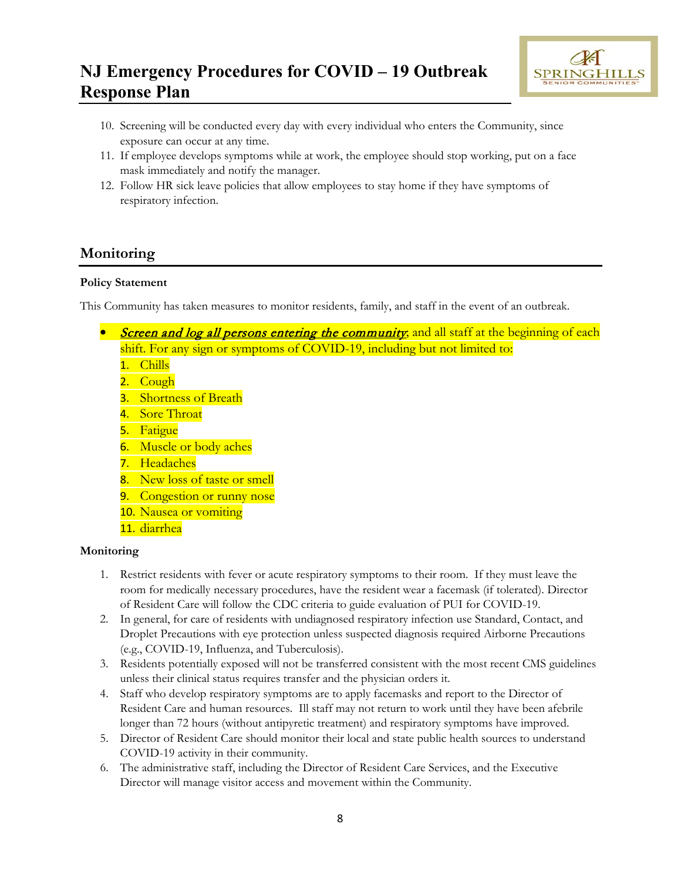

- 10. Screening will be conducted every day with every individual who enters the Community, since exposure can occur at any time.
- 11. If employee develops symptoms while at work, the employee should stop working, put on a face mask immediately and notify the manager.
- 12. Follow HR sick leave policies that allow employees to stay home if they have symptoms of respiratory infection.

## **Monitoring**

### **Policy Statement**

This Community has taken measures to monitor residents, family, and staff in the event of an outbreak.

- *Screen and log all persons entering the community*; and all staff at the beginning of each shift. For any sign or symptoms of COVID-19, including but not limited to:
	- 1. Chills
	- 2. Cough
	- **3.** Shortness of Breath
	- 4. Sore Throat
	- 5. Fatigue
	- 6. Muscle or body aches
	- 7. Headaches
	- 8. New loss of taste or smell
	- 9. Congestion or runny nose
	- 10. Nausea or vomiting
	- 11. diarrhea

### **Monitoring**

- 1. Restrict residents with fever or acute respiratory symptoms to their room. If they must leave the room for medically necessary procedures, have the resident wear a facemask (if tolerated). Director of Resident Care will follow the CDC criteria to guide evaluation of PUI for COVID-19.
- 2. In general, for care of residents with undiagnosed respiratory infection use Standard, Contact, and Droplet Precautions with eye protection unless suspected diagnosis required Airborne Precautions (e.g., COVID-19, Influenza, and Tuberculosis).
- 3. Residents potentially exposed will not be transferred consistent with the most recent CMS guidelines unless their clinical status requires transfer and the physician orders it.
- 4. Staff who develop respiratory symptoms are to apply facemasks and report to the Director of Resident Care and human resources. Ill staff may not return to work until they have been afebrile longer than 72 hours (without antipyretic treatment) and respiratory symptoms have improved.
- 5. Director of Resident Care should monitor their local and state public health sources to understand COVID-19 activity in their community.
- 6. The administrative staff, including the Director of Resident Care Services, and the Executive Director will manage visitor access and movement within the Community.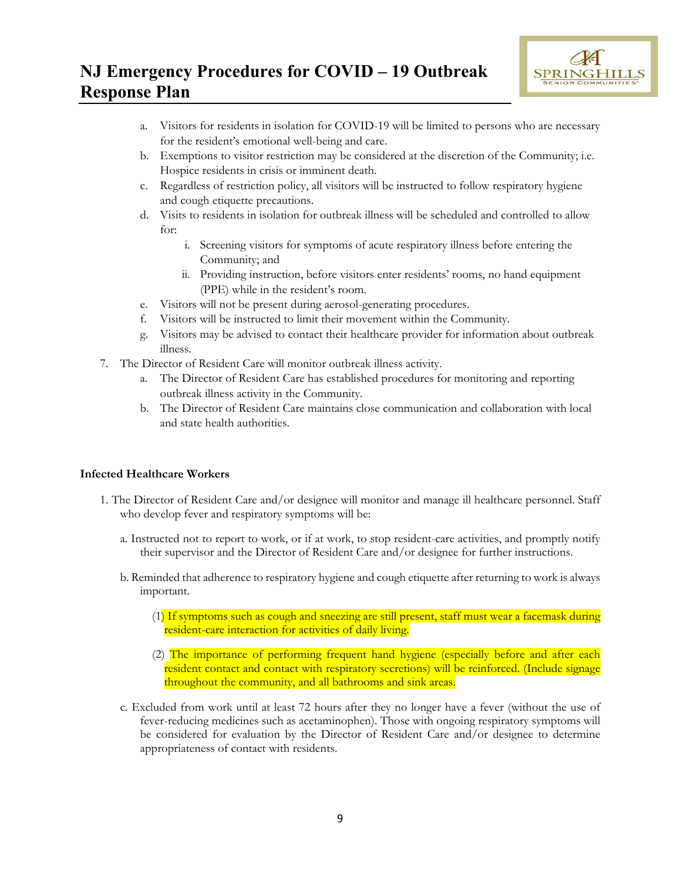

- a. Visitors for residents in isolation for COVID-19 will be limited to persons who are necessary for the resident's emotional well-being and care.
- b. Exemptions to visitor restriction may be considered at the discretion of the Community; i.e. Hospice residents in crisis or imminent death.
- c. Regardless of restriction policy, all visitors will be instructed to follow respiratory hygiene and cough etiquette precautions.
- d. Visits to residents in isolation for outbreak illness will be scheduled and controlled to allow for:
	- i. Screening visitors for symptoms of acute respiratory illness before entering the Community; and
	- ii. Providing instruction, before visitors enter residents' rooms, no hand equipment (PPE) while in the resident's room.
- e. Visitors will not be present during aerosol-generating procedures.
- f. Visitors will be instructed to limit their movement within the Community.
- g. Visitors may be advised to contact their healthcare provider for information about outbreak illness.
- 7. The Director of Resident Care will monitor outbreak illness activity.
	- a. The Director of Resident Care has established procedures for monitoring and reporting outbreak illness activity in the Community.
	- b. The Director of Resident Care maintains close communication and collaboration with local and state health authorities.

#### **Infected Healthcare Workers**

- 1. The Director of Resident Care and/or designee will monitor and manage ill healthcare personnel. Staff who develop fever and respiratory symptoms will be:
	- a. Instructed not to report to work, or if at work, to stop resident-care activities, and promptly notify their supervisor and the Director of Resident Care and/or designee for further instructions.
	- b. Reminded that adherence to respiratory hygiene and cough etiquette after returning to work is always important.
		- (1) If symptoms such as cough and sneezing are still present, staff must wear a facemask during resident-care interaction for activities of daily living.
		- (2) The importance of performing frequent hand hygiene (especially before and after each resident contact and contact with respiratory secretions) will be reinforced. (Include signage throughout the community, and all bathrooms and sink areas.
	- c. Excluded from work until at least 72 hours after they no longer have a fever (without the use of fever-reducing medicines such as acetaminophen). Those with ongoing respiratory symptoms will be considered for evaluation by the Director of Resident Care and/or designee to determine appropriateness of contact with residents.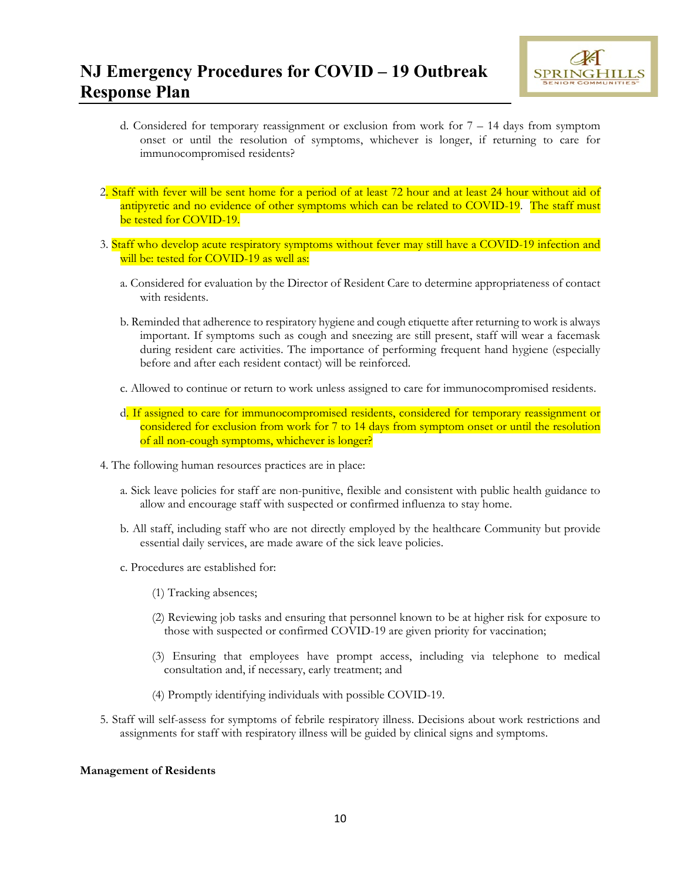

- d. Considered for temporary reassignment or exclusion from work for  $7 14$  days from symptom onset or until the resolution of symptoms, whichever is longer, if returning to care for immunocompromised residents?
- 2. Staff with fever will be sent home for a period of at least 72 hour and at least 24 hour without aid of antipyretic and no evidence of other symptoms which can be related to COVID-19. The staff must be tested for COVID-19.
- 3. Staff who develop acute respiratory symptoms without fever may still have a COVID-19 infection and will be: tested for COVID-19 as well as:
	- a. Considered for evaluation by the Director of Resident Care to determine appropriateness of contact with residents.
	- b. Reminded that adherence to respiratory hygiene and cough etiquette after returning to work is always important. If symptoms such as cough and sneezing are still present, staff will wear a facemask during resident care activities. The importance of performing frequent hand hygiene (especially before and after each resident contact) will be reinforced.
	- c. Allowed to continue or return to work unless assigned to care for immunocompromised residents.
	- d. If assigned to care for immunocompromised residents, considered for temporary reassignment or considered for exclusion from work for 7 to 14 days from symptom onset or until the resolution of all non-cough symptoms, whichever is longer?
- 4. The following human resources practices are in place:
	- a. Sick leave policies for staff are non-punitive, flexible and consistent with public health guidance to allow and encourage staff with suspected or confirmed influenza to stay home.
	- b. All staff, including staff who are not directly employed by the healthcare Community but provide essential daily services, are made aware of the sick leave policies.
	- c. Procedures are established for:
		- (1) Tracking absences;
		- (2) Reviewing job tasks and ensuring that personnel known to be at higher risk for exposure to those with suspected or confirmed COVID-19 are given priority for vaccination;
		- (3) Ensuring that employees have prompt access, including via telephone to medical consultation and, if necessary, early treatment; and
		- (4) Promptly identifying individuals with possible COVID-19.
- 5. Staff will self-assess for symptoms of febrile respiratory illness. Decisions about work restrictions and assignments for staff with respiratory illness will be guided by clinical signs and symptoms.

#### **Management of Residents**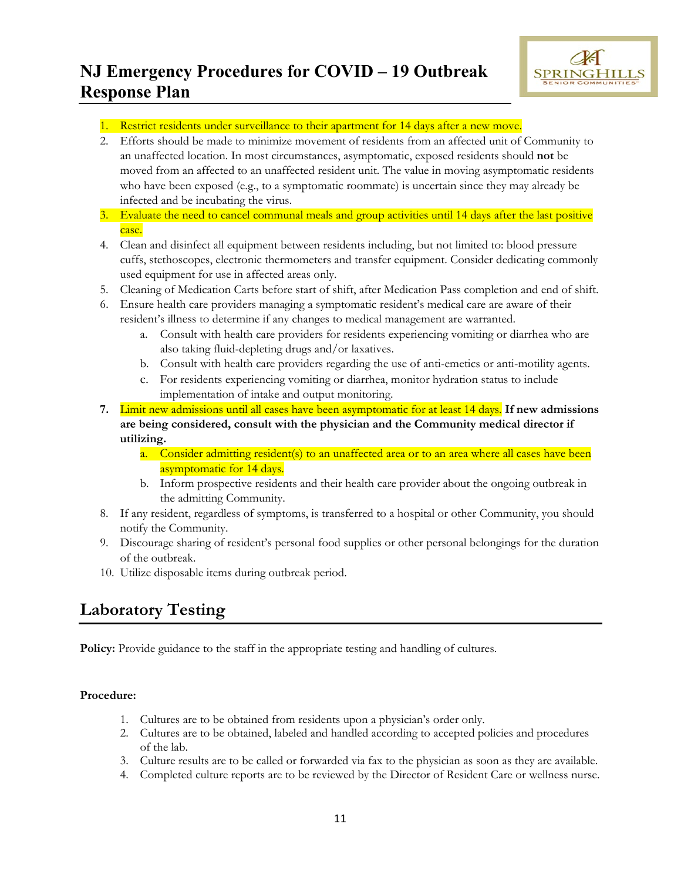

- 1. Restrict residents under surveillance to their apartment for 14 days after a new move.
- 2. Efforts should be made to minimize movement of residents from an affected unit of Community to an unaffected location. In most circumstances, asymptomatic, exposed residents should **not** be moved from an affected to an unaffected resident unit. The value in moving asymptomatic residents who have been exposed (e.g., to a symptomatic roommate) is uncertain since they may already be infected and be incubating the virus.
- 3. Evaluate the need to cancel communal meals and group activities until 14 days after the last positive case.
- 4. Clean and disinfect all equipment between residents including, but not limited to: blood pressure cuffs, stethoscopes, electronic thermometers and transfer equipment. Consider dedicating commonly used equipment for use in affected areas only.
- 5. Cleaning of Medication Carts before start of shift, after Medication Pass completion and end of shift.
- 6. Ensure health care providers managing a symptomatic resident's medical care are aware of their resident's illness to determine if any changes to medical management are warranted.
	- a. Consult with health care providers for residents experiencing vomiting or diarrhea who are also taking fluid-depleting drugs and/or laxatives.
	- b. Consult with health care providers regarding the use of anti-emetics or anti-motility agents.
	- c. For residents experiencing vomiting or diarrhea, monitor hydration status to include implementation of intake and output monitoring.
- **7.** Limit new admissions until all cases have been asymptomatic for at least 14 days. **If new admissions are being considered, consult with the physician and the Community medical director if utilizing.**
	- a. Consider admitting resident(s) to an unaffected area or to an area where all cases have been asymptomatic for 14 days.
	- b. Inform prospective residents and their health care provider about the ongoing outbreak in the admitting Community.
- 8. If any resident, regardless of symptoms, is transferred to a hospital or other Community, you should notify the Community.
- 9. Discourage sharing of resident's personal food supplies or other personal belongings for the duration of the outbreak.
- 10. Utilize disposable items during outbreak period.

## **Laboratory Testing**

**Policy:** Provide guidance to the staff in the appropriate testing and handling of cultures.

### **Procedure:**

- 1. Cultures are to be obtained from residents upon a physician's order only.
- 2. Cultures are to be obtained, labeled and handled according to accepted policies and procedures of the lab.
- 3. Culture results are to be called or forwarded via fax to the physician as soon as they are available.
- 4. Completed culture reports are to be reviewed by the Director of Resident Care or wellness nurse.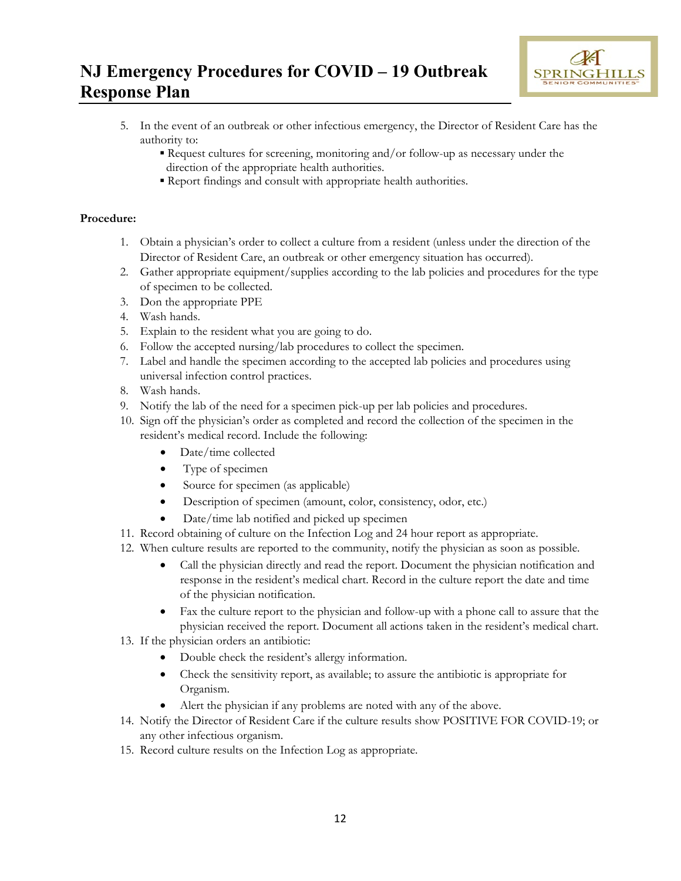

- 5. In the event of an outbreak or other infectious emergency, the Director of Resident Care has the authority to:
	- Request cultures for screening, monitoring and/or follow-up as necessary under the direction of the appropriate health authorities.
	- Report findings and consult with appropriate health authorities.

### **Procedure:**

- 1. Obtain a physician's order to collect a culture from a resident (unless under the direction of the Director of Resident Care, an outbreak or other emergency situation has occurred).
- 2. Gather appropriate equipment/supplies according to the lab policies and procedures for the type of specimen to be collected.
- 3. Don the appropriate PPE
- 4. Wash hands.
- 5. Explain to the resident what you are going to do.
- 6. Follow the accepted nursing/lab procedures to collect the specimen.
- 7. Label and handle the specimen according to the accepted lab policies and procedures using universal infection control practices.
- 8. Wash hands.
- 9. Notify the lab of the need for a specimen pick-up per lab policies and procedures.
- 10. Sign off the physician's order as completed and record the collection of the specimen in the resident's medical record. Include the following:
	- Date/time collected
	- Type of specimen
	- Source for specimen (as applicable)
	- Description of specimen (amount, color, consistency, odor, etc.)
	- Date/time lab notified and picked up specimen
- 11. Record obtaining of culture on the Infection Log and 24 hour report as appropriate.
- 12. When culture results are reported to the community, notify the physician as soon as possible.
	- Call the physician directly and read the report. Document the physician notification and response in the resident's medical chart. Record in the culture report the date and time of the physician notification.
	- Fax the culture report to the physician and follow-up with a phone call to assure that the physician received the report. Document all actions taken in the resident's medical chart.
- 13. If the physician orders an antibiotic:
	- Double check the resident's allergy information.
	- Check the sensitivity report, as available; to assure the antibiotic is appropriate for Organism.
	- Alert the physician if any problems are noted with any of the above.
- 14. Notify the Director of Resident Care if the culture results show POSITIVE FOR COVID-19; or any other infectious organism.
- 15. Record culture results on the Infection Log as appropriate.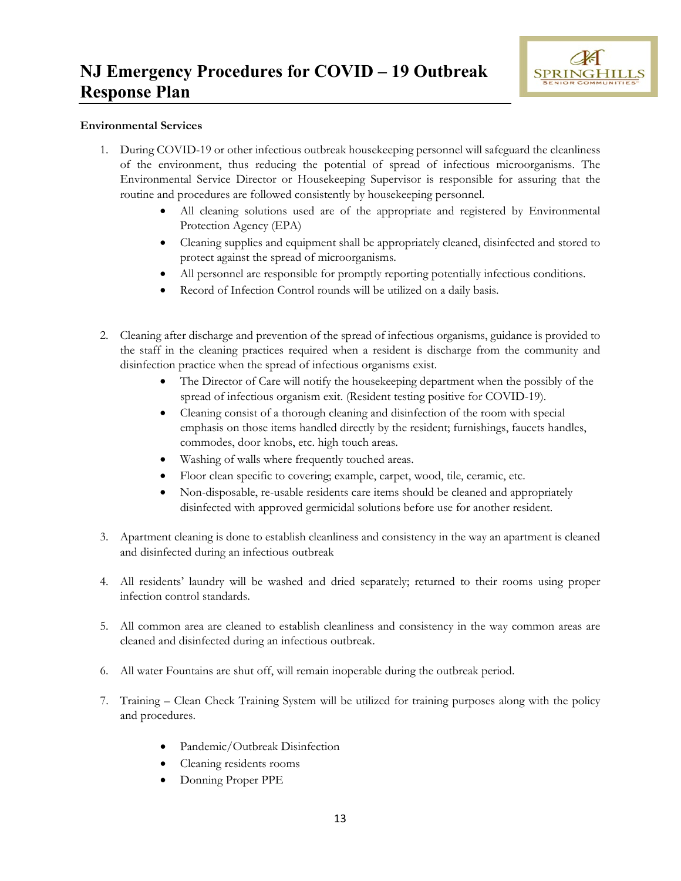

#### **Environmental Services**

- 1. During COVID-19 or other infectious outbreak housekeeping personnel will safeguard the cleanliness of the environment, thus reducing the potential of spread of infectious microorganisms. The Environmental Service Director or Housekeeping Supervisor is responsible for assuring that the routine and procedures are followed consistently by housekeeping personnel.
	- All cleaning solutions used are of the appropriate and registered by Environmental Protection Agency (EPA)
	- Cleaning supplies and equipment shall be appropriately cleaned, disinfected and stored to protect against the spread of microorganisms.
	- All personnel are responsible for promptly reporting potentially infectious conditions.
	- Record of Infection Control rounds will be utilized on a daily basis.
- 2. Cleaning after discharge and prevention of the spread of infectious organisms, guidance is provided to the staff in the cleaning practices required when a resident is discharge from the community and disinfection practice when the spread of infectious organisms exist.
	- The Director of Care will notify the housekeeping department when the possibly of the spread of infectious organism exit. (Resident testing positive for COVID-19).
	- Cleaning consist of a thorough cleaning and disinfection of the room with special emphasis on those items handled directly by the resident; furnishings, faucets handles, commodes, door knobs, etc. high touch areas.
	- Washing of walls where frequently touched areas.
	- Floor clean specific to covering; example, carpet, wood, tile, ceramic, etc.
	- Non-disposable, re-usable residents care items should be cleaned and appropriately disinfected with approved germicidal solutions before use for another resident.
- 3. Apartment cleaning is done to establish cleanliness and consistency in the way an apartment is cleaned and disinfected during an infectious outbreak
- 4. All residents' laundry will be washed and dried separately; returned to their rooms using proper infection control standards.
- 5. All common area are cleaned to establish cleanliness and consistency in the way common areas are cleaned and disinfected during an infectious outbreak.
- 6. All water Fountains are shut off, will remain inoperable during the outbreak period.
- 7. Training Clean Check Training System will be utilized for training purposes along with the policy and procedures.
	- Pandemic/Outbreak Disinfection
	- Cleaning residents rooms
	- Donning Proper PPE